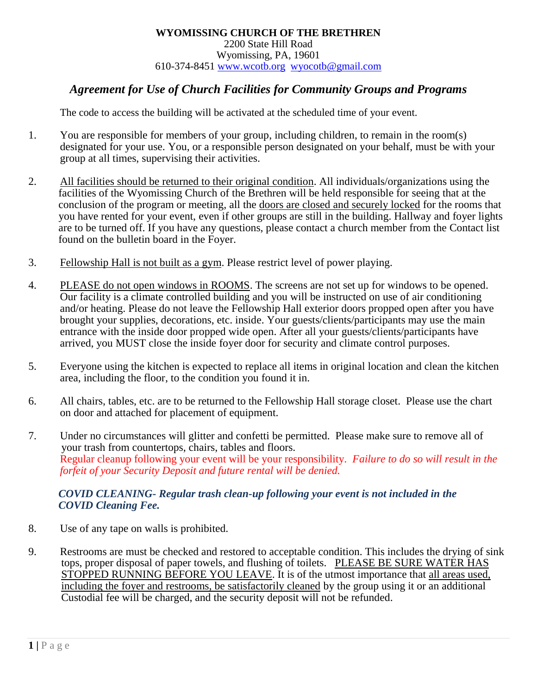## *Agreement for Use of Church Facilities for Community Groups and Programs*

The code to access the building will be activated at the scheduled time of your event.

- 1. You are responsible for members of your group, including children, to remain in the room(s) designated for your use. You, or a responsible person designated on your behalf, must be with your group at all times, supervising their activities.
- 2. All facilities should be returned to their original condition. All individuals/organizations using the facilities of the Wyomissing Church of the Brethren will be held responsible for seeing that at the conclusion of the program or meeting, all the doors are closed and securely locked for the rooms that you have rented for your event, even if other groups are still in the building. Hallway and foyer lights are to be turned off. If you have any questions, please contact a church member from the Contact list found on the bulletin board in the Foyer.
- 3. Fellowship Hall is not built as a gym. Please restrict level of power playing.
- 4. PLEASE do not open windows in ROOMS. The screens are not set up for windows to be opened. Our facility is a climate controlled building and you will be instructed on use of air conditioning and/or heating. Please do not leave the Fellowship Hall exterior doors propped open after you have brought your supplies, decorations, etc. inside. Your guests/clients/participants may use the main entrance with the inside door propped wide open. After all your guests/clients/participants have arrived, you MUST close the inside foyer door for security and climate control purposes.
- 5. Everyone using the kitchen is expected to replace all items in original location and clean the kitchen area, including the floor, to the condition you found it in.
- 6. All chairs, tables, etc. are to be returned to the Fellowship Hall storage closet. Please use the chart on door and attached for placement of equipment.
- 7. Under no circumstances will glitter and confetti be permitted. Please make sure to remove all of your trash from countertops, chairs, tables and floors. Regular cleanup following your event will be your responsibility. *Failure to do so will result in the forfeit of your Security Deposit and future rental will be denied.*

## *COVID CLEANING- Regular trash clean-up following your event is not included in the COVID Cleaning Fee.*

- 8. Use of any tape on walls is prohibited.
- 9. Restrooms are must be checked and restored to acceptable condition. This includes the drying of sink tops, proper disposal of paper towels, and flushing of toilets. PLEASE BE SURE WATER HAS STOPPED RUNNING BEFORE YOU LEAVE. It is of the utmost importance that all areas used, including the foyer and restrooms, be satisfactorily cleaned by the group using it or an additional Custodial fee will be charged, and the security deposit will not be refunded.